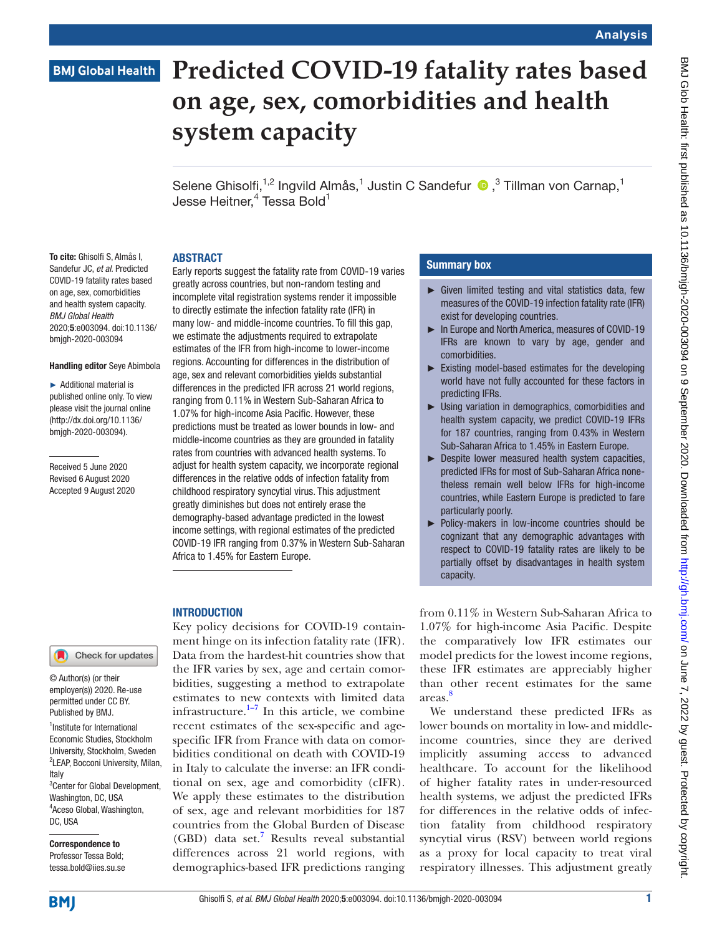# **BMJ Global Health**

# **Predicted COVID-19 fatality rates based on age, sex, comorbidities and health system capacity**

Selene Ghisolfi,<sup>1,2</sup> Ingvild Almås,<sup>1</sup> Justin C Sandefur <sup>®</sup>,<sup>3</sup> Tillman von Carnap,<sup>1</sup> Jesse Heitner, $\rm ^4$  Tessa Bold $\rm ^1$ 

#### ABSTRACT

To cite: Ghisolfi S, Almås I, Sandefur JC, *et al*. Predicted COVID-19 fatality rates based on age, sex, comorbidities and health system capacity. *BMJ Global Health* 2020;5:e003094. doi:10.1136/ bmjgh-2020-003094

#### Handling editor Seye Abimbola

► Additional material is published online only. To view please visit the journal online (http://dx.doi.org/10.1136/ bmjgh-2020-003094).

Received 5 June 2020 Revised 6 August 2020 Accepted 9 August 2020 Early reports suggest the fatality rate from COVID-19 varies greatly across countries, but non-random testing and incomplete vital registration systems render it impossible to directly estimate the infection fatality rate (IFR) in many low- and middle-income countries. To fill this gap, we estimate the adjustments required to extrapolate estimates of the IFR from high-income to lower-income regions. Accounting for differences in the distribution of age, sex and relevant comorbidities yields substantial differences in the predicted IFR across 21 world regions, ranging from 0.11% in Western Sub-Saharan Africa to 1.07% for high-income Asia Pacific. However, these predictions must be treated as lower bounds in low- and middle-income countries as they are grounded in fatality rates from countries with advanced health systems. To adjust for health system capacity, we incorporate regional differences in the relative odds of infection fatality from childhood respiratory syncytial virus. This adjustment greatly diminishes but does not entirely erase the demography-based advantage predicted in the lowest income settings, with regional estimates of the predicted COVID-19 IFR ranging from 0.37% in Western Sub-Saharan Africa to 1.45% for Eastern Europe.

## **INTRODUCTION**

© Author(s) (or their employer(s)) 2020. Re-use permitted under CC BY.

Check for updates

<sup>1</sup> Institute for International Economic Studies, Stockholm University, Stockholm, Sweden <sup>2</sup>LEAP, Bocconi University, Milan, Italy 3 Center for Global Development, Washington, DC, USA 4 Aceso Global, Washington, DC, USA Published by BMJ.

Correspondence to Professor Tessa Bold; tessa.bold@iies.su.se

Key policy decisions for COVID-19 containment hinge on its infection fatality rate (IFR). Data from the hardest-hit countries show that the IFR varies by sex, age and certain comorbidities, suggesting a method to extrapolate estimates to new contexts with limited data infrastructure. $1\frac{1}{7}$  In this article, we combine recent estimates of the sex-specific and agespecific IFR from France with data on comorbidities conditional on death with COVID-19 in Italy to calculate the inverse: an IFR conditional on sex, age and comorbidity (cIFR). We apply these estimates to the distribution of sex, age and relevant morbidities for 187 countries from the Global Burden of Disease (GBD) data set.[7](#page-7-1) Results reveal substantial differences across 21 world regions, with demographics-based IFR predictions ranging

# Summary box

- ► Given limited testing and vital statistics data, few measures of the COVID-19 infection fatality rate (IFR) exist for developing countries.
- ► In Europe and North America, measures of COVID-19 IFRs are known to vary by age, gender and comorbidities.
- ► Existing model-based estimates for the developing world have not fully accounted for these factors in predicting IFRs.
- ► Using variation in demographics, comorbidities and health system capacity, we predict COVID-19 IFRs for 187 countries, ranging from 0.43% in Western Sub-Saharan Africa to 1.45% in Eastern Europe.
- ► Despite lower measured health system capacities, predicted IFRs for most of Sub-Saharan Africa nonetheless remain well below IFRs for high-income countries, while Eastern Europe is predicted to fare particularly poorly.
- ► Policy-makers in low-income countries should be cognizant that any demographic advantages with respect to COVID-19 fatality rates are likely to be partially offset by disadvantages in health system capacity.

from 0.11% in Western Sub-Saharan Africa to 1.07% for high-income Asia Pacific. Despite the comparatively low IFR estimates our model predicts for the lowest income regions, these IFR estimates are appreciably higher than other recent estimates for the same areas. [8](#page-7-2)

We understand these predicted IFRs as lower bounds on mortality in low- and middleincome countries, since they are derived implicitly assuming access to advanced healthcare. To account for the likelihood of higher fatality rates in under-resourced health systems, we adjust the predicted IFRs for differences in the relative odds of infection fatality from childhood respiratory syncytial virus (RSV) between world regions as a proxy for local capacity to treat viral respiratory illnesses. This adjustment greatly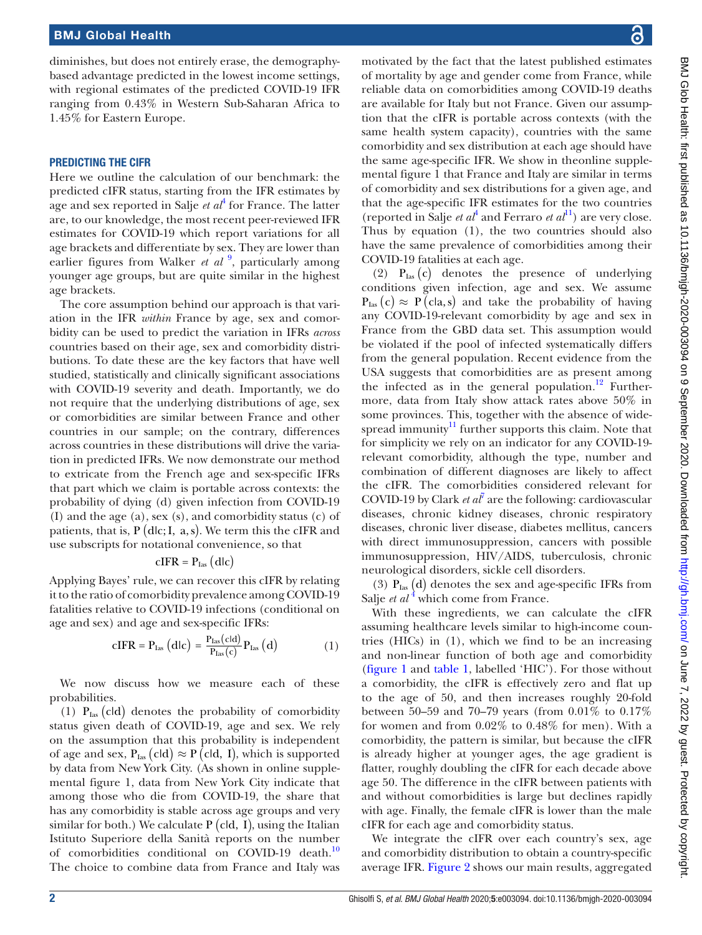diminishes, but does not entirely erase, the demographybased advantage predicted in the lowest income settings, with regional estimates of the predicted COVID-19 IFR ranging from 0.43% in Western Sub-Saharan Africa to 1.45% for Eastern Europe.

#### PREDICTING THE CIFR

Here we outline the calculation of our benchmark: the predicted cIFR status, starting from the IFR estimates by age and sex reported in Salje *et al*[4](#page-7-3) for France. The latter are, to our knowledge, the most recent peer-reviewed IFR estimates for COVID-19 which report variations for all age brackets and differentiate by sex. They are lower than earlier figures from Walker *et al* <sup>[9](#page-7-4)</sup>, particularly among younger age groups, but are quite similar in the highest age brackets.

The core assumption behind our approach is that variation in the IFR *within* France by age, sex and comorbidity can be used to predict the variation in IFRs *across* countries based on their age, sex and comorbidity distributions. To date these are the key factors that have well studied, statistically and clinically significant associations with COVID-19 severity and death. Importantly, we do not require that the underlying distributions of age, sex or comorbidities are similar between France and other countries in our sample; on the contrary, differences across countries in these distributions will drive the variation in predicted IFRs. We now demonstrate our method to extricate from the French age and sex-specific IFRs that part which we claim is portable across contexts: the probability of dying (d) given infection from COVID-19 (I) and the age (a), sex (s), and comorbidity status (c) of patients, that is,  $P$  (dlc; I, a, s). We term this the cIFR and use subscripts for notational convenience, so that

$$
cIFR = P_{\text{las}} (dlc)
$$

Applying Bayes' rule, we can recover this cIFR by relating it to the ratio of comorbidity prevalence among COVID-19 fatalities relative to COVID-19 infections (conditional on age and sex) and age and sex-specific IFRs:

$$
cIFR = Plas (dlc) = \frac{Plas(cld)}{Plas(c)} Plas (d)
$$
 (1)

We now discuss how we measure each of these probabilities.

(1)  $P_{\text{Ias}}$  (cld) denotes the probability of comorbidity status given death of COVID-19, age and sex. We rely on the assumption that this probability is independent of age and sex,  $P_{\text{las}}(c\text{Id}) \approx P(c\text{Id}, I)$ , which is supported by data from New York City. (As shown in [online supple](https://dx.doi.org/10.1136/bmjgh-2020-003094)[mental figure 1](https://dx.doi.org/10.1136/bmjgh-2020-003094), data from New York City indicate that among those who die from COVID-19, the share that has any comorbidity is stable across age groups and very similar for both.) We calculate  $P$  (cld,  $\tilde{I}$ ), using the Italian Istituto Superiore della Sanità reports on the number of comorbidities conditional on COVID-19 death.<sup>10</sup> The choice to combine data from France and Italy was

motivated by the fact that the latest published estimates of mortality by age and gender come from France, while reliable data on comorbidities among COVID-19 deaths are available for Italy but not France. Given our assumption that the cIFR is portable across contexts (with the same health system capacity), countries with the same comorbidity and sex distribution at each age should have the same age-specific IFR. We show in the[online supple](https://dx.doi.org/10.1136/bmjgh-2020-003094)[mental figure 1](https://dx.doi.org/10.1136/bmjgh-2020-003094) that France and Italy are similar in terms of comorbidity and sex distributions for a given age, and that the age-specific IFR estimates for the two countries (reported in Salje *et al*<sup>[4](#page-7-3)</sup> and Ferraro *et al*<sup>11</sup>) are very close. Thus by equation (1), the two countries should also have the same prevalence of comorbidities among their COVID-19 fatalities at each age.

(2)  $P_{\text{Las}}(c)$  denotes the presence of underlying conditions given infection, age and sex. We assume  $P_{\text{Las}}(c) \approx P(\text{cla}, s)$  and take the probability of having any COVID-19-relevant comorbidity by age and sex in France from the GBD data set. This assumption would be violated if the pool of infected systematically differs from the general population. Recent evidence from the USA suggests that comorbidities are as present among the infected as in the general population.<sup>12</sup> Furthermore, data from Italy show attack rates above 50% in some provinces. This, together with the absence of widespread immunity $\frac{11}{11}$  further supports this claim. Note that for simplicity we rely on an indicator for any COVID-19 relevant comorbidity, although the type, number and combination of different diagnoses are likely to affect the cIFR. The comorbidities considered relevant for COVID-19 by Clark  $et\ a^T$  are the following: cardiovascular diseases, chronic kidney diseases, chronic respiratory diseases, chronic liver disease, diabetes mellitus, cancers with direct immunosuppression, cancers with possible immunosuppression, HIV/AIDS, tuberculosis, chronic neurological disorders, sickle cell disorders.

(3)  $P_{\text{las}}(d)$  denotes the sex and age-specific IFRs from Salje *et al* <sup>[4](#page-7-3)</sup> which come from France.

With these ingredients, we can calculate the cIFR assuming healthcare levels similar to high-income countries (HICs) in (1), which we find to be an increasing and non-linear function of both age and comorbidity [\(figure](#page-2-0) 1 and [table](#page-2-1) 1, labelled 'HIC'). For those without a comorbidity, the cIFR is effectively zero and flat up to the age of 50, and then increases roughly 20-fold between 50–59 and 70–79 years (from 0.01% to 0.17% for women and from 0.02% to 0.48% for men). With a comorbidity, the pattern is similar, but because the cIFR is already higher at younger ages, the age gradient is flatter, roughly doubling the cIFR for each decade above age 50. The difference in the cIFR between patients with and without comorbidities is large but declines rapidly with age. Finally, the female cIFR is lower than the male cIFR for each age and comorbidity status.

We integrate the cIFR over each country's sex, age and comorbidity distribution to obtain a country-specific average IFR. [Figure](#page-3-0) 2 shows our main results, aggregated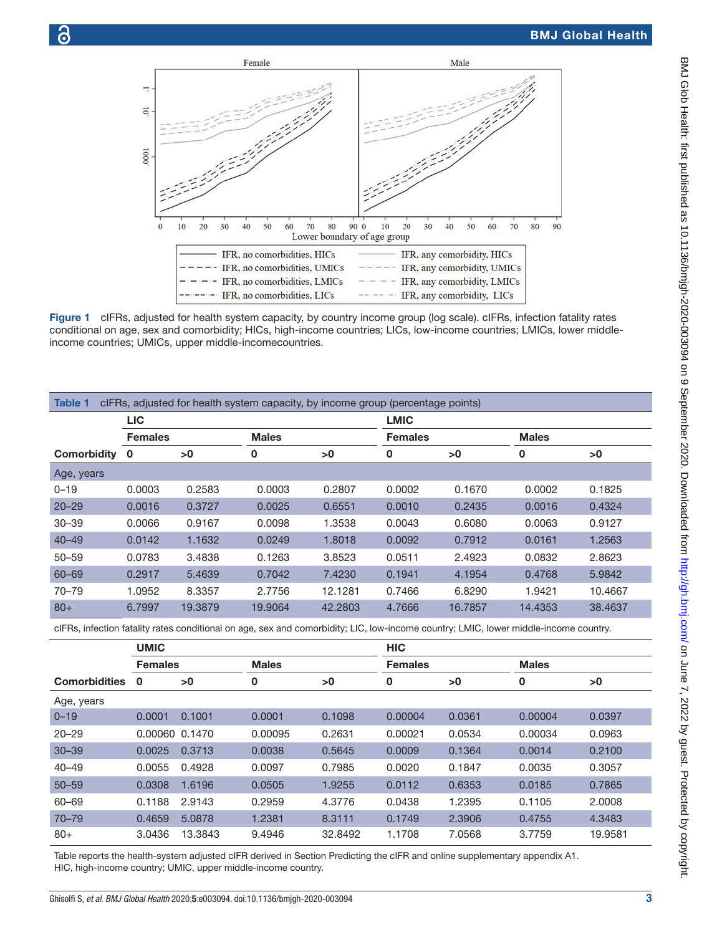

<span id="page-2-0"></span>Figure 1 cIFRs, adjusted for health system capacity, by country income group (log scale). cIFRs, infection fatality rates conditional on age, sex and comorbidity; HICs, high-income countries; LICs, low-income countries; LMICs, lower middleincome countries; UMICs, upper middle-incomecountries.

<span id="page-2-1"></span>

| <b>LIC</b>     |         |              |         | <b>LMIC</b>    |         |                                                                                 |         |
|----------------|---------|--------------|---------|----------------|---------|---------------------------------------------------------------------------------|---------|
| <b>Females</b> |         | <b>Males</b> |         | <b>Females</b> |         | <b>Males</b>                                                                    |         |
| $\mathbf 0$    | >0      | 0            | >0      | 0              | >0      | 0                                                                               | >0      |
|                |         |              |         |                |         |                                                                                 |         |
| 0.0003         | 0.2583  | 0.0003       | 0.2807  | 0.0002         | 0.1670  | 0.0002                                                                          | 0.1825  |
| 0.0016         | 0.3727  | 0.0025       | 0.6551  | 0.0010         | 0.2435  | 0.0016                                                                          | 0.4324  |
| 0.0066         | 0.9167  | 0.0098       | 1.3538  | 0.0043         | 0.6080  | 0.0063                                                                          | 0.9127  |
| 0.0142         | 1.1632  | 0.0249       | 1.8018  | 0.0092         | 0.7912  | 0.0161                                                                          | 1.2563  |
| 0.0783         | 3.4838  | 0.1263       | 3.8523  | 0.0511         | 2.4923  | 0.0832                                                                          | 2.8623  |
| 0.2917         | 5.4639  | 0.7042       | 7.4230  | 0.1941         | 4.1954  | 0.4768                                                                          | 5.9842  |
| 1.0952         | 8.3357  | 2.7756       | 12.1281 | 0.7466         | 6.8290  | 1.9421                                                                          | 10.4667 |
| 6.7997         | 19,3879 | 19,9064      | 42.2803 | 4.7666         | 16.7857 | 14.4353                                                                         | 38,4637 |
|                |         |              |         |                |         | cIFRs, adjusted for health system capacity, by income group (percentage points) |         |

cIFRs, infection fatality rates conditional on age, sex and comorbidity; LIC, low-income country; LMIC, lower middle-income country.

|                      | <b>UMIC</b>    |         |              |         | <b>HIC</b>     |        |              |         |
|----------------------|----------------|---------|--------------|---------|----------------|--------|--------------|---------|
|                      | <b>Females</b> |         | <b>Males</b> |         | <b>Females</b> |        | <b>Males</b> |         |
| <b>Comorbidities</b> | 0              | >0      | 0            | >0      | 0              | >0     | 0            | >0      |
| Age, years           |                |         |              |         |                |        |              |         |
| $0 - 19$             | 0.0001         | 0.1001  | 0.0001       | 0.1098  | 0.00004        | 0.0361 | 0.00004      | 0.0397  |
| $20 - 29$            | 0.00060        | 0.1470  | 0.00095      | 0.2631  | 0.00021        | 0.0534 | 0.00034      | 0.0963  |
| $30 - 39$            | 0.0025         | 0.3713  | 0.0038       | 0.5645  | 0.0009         | 0.1364 | 0.0014       | 0.2100  |
| $40 - 49$            | 0.0055         | 0.4928  | 0.0097       | 0.7985  | 0.0020         | 0.1847 | 0.0035       | 0.3057  |
| $50 - 59$            | 0.0308         | 1.6196  | 0.0505       | 1.9255  | 0.0112         | 0.6353 | 0.0185       | 0.7865  |
| 60-69                | 0.1188         | 2.9143  | 0.2959       | 4.3776  | 0.0438         | 1.2395 | 0.1105       | 2.0008  |
| $70 - 79$            | 0.4659         | 5.0878  | 1.2381       | 8.3111  | 0.1749         | 2.3906 | 0.4755       | 4.3483  |
| $80+$                | 3.0436         | 13.3843 | 9.4946       | 32.8492 | 1.1708         | 7.0568 | 3.7759       | 19.9581 |

Table reports the health-system adjusted cIFR derived in Section Predicting the cIFR and [online supplementary appendix A1](https://dx.doi.org/10.1136/bmjgh-2020-003094). HIC, high-income country; UMIC, upper middle-income country.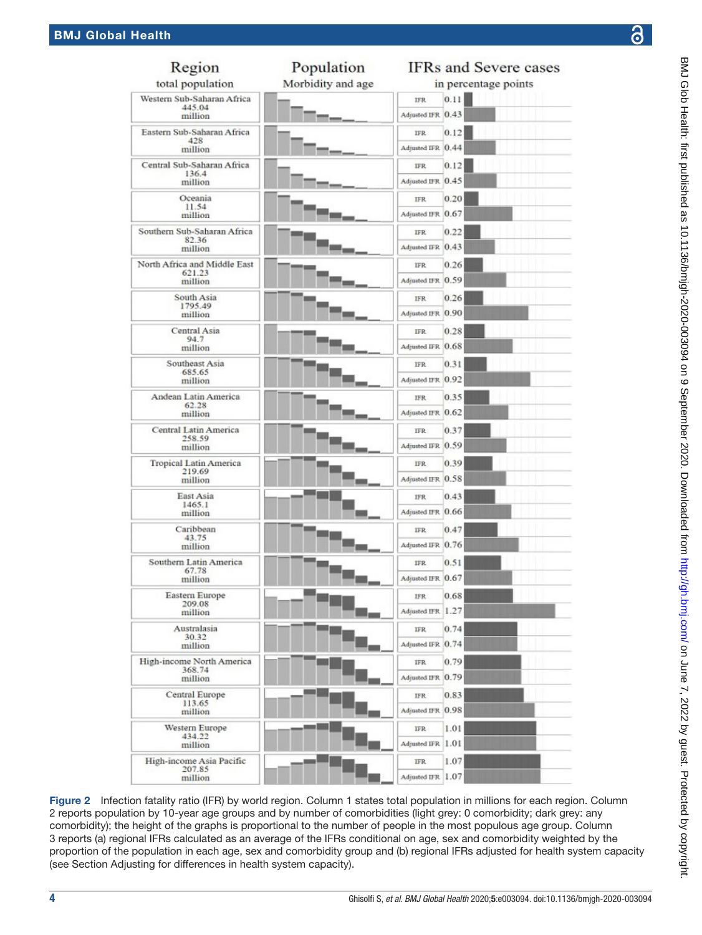| Region                                  | Population        |                   | <b>IFRs and Severe cases</b> |
|-----------------------------------------|-------------------|-------------------|------------------------------|
| total population                        | Morbidity and age |                   | in percentage points         |
| Western Sub-Saharan Africa              |                   | IFR.              | 0.11                         |
| 445.04<br>million                       |                   | Adjusted IFR 0.43 |                              |
| Eastern Sub-Saharan Africa              |                   | IFR.              | 0.12                         |
| 428<br>million                          |                   | Adjusted IFR 0.44 |                              |
| Central Sub-Saharan Africa<br>136.4     |                   | <b>IFR</b>        | 0.12                         |
| million                                 |                   | Adjusted IFR 0.45 |                              |
| Oceania<br>11.54                        |                   | IFR.              | 0.20                         |
| million                                 |                   | Adjusted IFR 0.67 |                              |
| Southern Sub-Saharan Africa             |                   | IFR.              | 0.22                         |
| 82.36<br>million                        |                   | Adjusted IFR 0.43 |                              |
| North Africa and Middle East            |                   | IFR.              | 0.26                         |
| 621.23<br>million                       |                   | Adjusted IFR 0.59 |                              |
| South Asia                              |                   | <b>IFR</b>        | 0.26                         |
| 1795.49<br>million                      |                   | Adjusted IFR 0.90 |                              |
| Central Asia<br>94.7                    |                   | IFR.              | 0.28                         |
| million                                 |                   | Adjusted IFR 0.68 |                              |
| Southeast Asia<br>685.65                |                   | IFR.              | 0.31                         |
| million                                 |                   | Adjusted IFR 0.92 |                              |
| Andean Latin America<br>62.28           |                   | <b>IFR</b>        | 0.35                         |
| million                                 |                   | Adjusted IFR 0.62 |                              |
| Central Latin America<br>258.59         |                   | IFR.              | 0.37                         |
| million                                 |                   | Adjusted IFR 0.59 |                              |
| <b>Tropical Latin America</b><br>219.69 |                   | IFR.              | 0.39                         |
| million                                 |                   | Adjusted IFR 0.58 |                              |
| East Asia<br>1465.1                     |                   | <b>IFR</b>        | 0.43                         |
| million                                 |                   | Adjusted IFR 0.66 |                              |
| Caribbean<br>43.75                      |                   | IFR.              | 0.47                         |
| million                                 |                   | Adjusted IFR 0.76 |                              |
| Southern Latin America<br>67.78         |                   | IFR.              | 0.51                         |
| million                                 |                   | Adjusted IFR 0.67 |                              |
| <b>Eastern Europe</b><br>209.08         |                   | IFR.              | 0.68                         |
| million                                 |                   | Adjusted IFR 1.27 |                              |
| Australasia<br>30.32                    |                   | <b>IFR</b>        | 0.74                         |
| million                                 |                   | Adjusted IFR 0.74 |                              |
| High-income North America<br>368.74     |                   | IFR.              | 0.79                         |
| million                                 |                   | Adjusted IFR 0.79 |                              |
| <b>Central Europe</b><br>113.65         |                   | IFR.              | 0.83                         |
| million                                 |                   | Adjusted IFR 0.98 |                              |
| Western Europe<br>434.22                |                   | <b>IFR</b>        | 1.01                         |
| million                                 |                   | Adjusted IFR 1.01 |                              |
| High-income Asia Pacific<br>207.85      |                   | IFR.              | 1.07                         |
| million                                 |                   | Adjusted IFR 1.07 |                              |

<span id="page-3-0"></span>Figure 2 Infection fatality ratio (IFR) by world region. Column 1 states total population in millions for each region. Column 2 reports population by 10-year age groups and by number of comorbidities (light grey: 0 comorbidity; dark grey: any comorbidity); the height of the graphs is proportional to the number of people in the most populous age group. Column 3 reports (a) regional IFRs calculated as an average of the IFRs conditional on age, sex and comorbidity weighted by the proportion of the population in each age, sex and comorbidity group and (b) regional IFRs adjusted for health system capacity (see Section Adjusting for differences in health system capacity).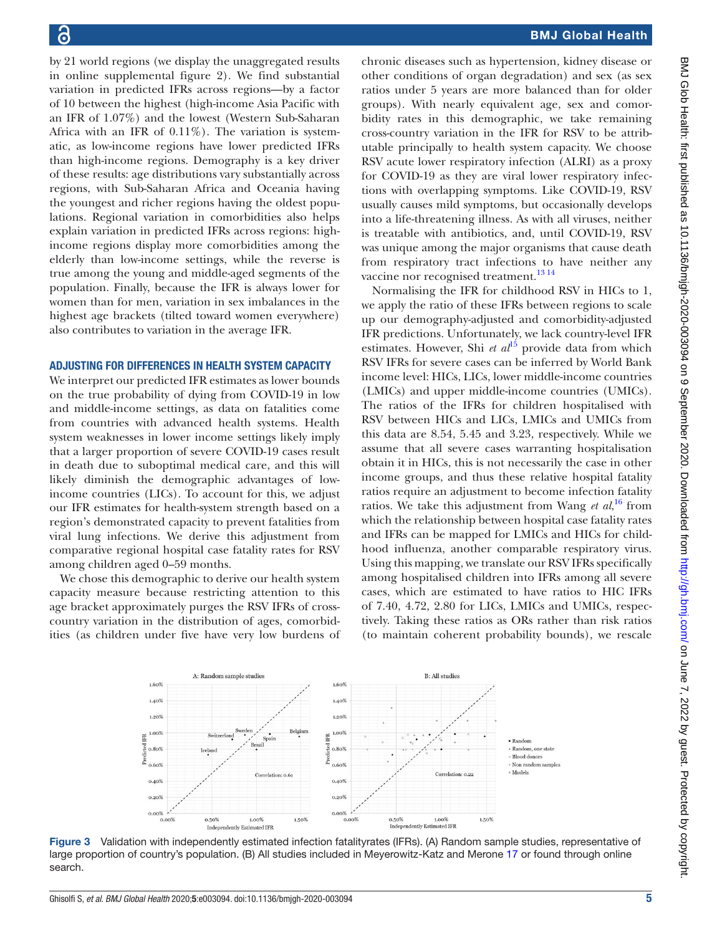by 21 world regions (we display the unaggregated results in [online supplemental figure 2](https://dx.doi.org/10.1136/bmjgh-2020-003094)). We find substantial variation in predicted IFRs across regions—by a factor of 10 between the highest (high-income Asia Pacific with an IFR of 1.07%) and the lowest (Western Sub-Saharan Africa with an IFR of  $0.11\%$ ). The variation is systematic, as low-income regions have lower predicted IFRs than high-income regions. Demography is a key driver of these results: age distributions vary substantially across regions, with Sub-Saharan Africa and Oceania having the youngest and richer regions having the oldest populations. Regional variation in comorbidities also helps explain variation in predicted IFRs across regions: highincome regions display more comorbidities among the elderly than low-income settings, while the reverse is true among the young and middle-aged segments of the population. Finally, because the IFR is always lower for women than for men, variation in sex imbalances in the highest age brackets (tilted toward women everywhere) also contributes to variation in the average IFR.

#### ADJUSTING FOR DIFFERENCES IN HEALTH SYSTEM CAPACITY

We interpret our predicted IFR estimates as lower bounds on the true probability of dying from COVID-19 in low and middle-income settings, as data on fatalities come from countries with advanced health systems. Health system weaknesses in lower income settings likely imply that a larger proportion of severe COVID-19 cases result in death due to suboptimal medical care, and this will likely diminish the demographic advantages of lowincome countries (LICs). To account for this, we adjust our IFR estimates for health-system strength based on a region's demonstrated capacity to prevent fatalities from viral lung infections. We derive this adjustment from comparative regional hospital case fatality rates for RSV among children aged 0–59 months.

We chose this demographic to derive our health system capacity measure because restricting attention to this age bracket approximately purges the RSV IFRs of crosscountry variation in the distribution of ages, comorbidities (as children under five have very low burdens of

chronic diseases such as hypertension, kidney disease or other conditions of organ degradation) and sex (as sex ratios under 5 years are more balanced than for older groups). With nearly equivalent age, sex and comorbidity rates in this demographic, we take remaining cross-country variation in the IFR for RSV to be attributable principally to health system capacity. We choose RSV acute lower respiratory infection (ALRI) as a proxy for COVID-19 as they are viral lower respiratory infections with overlapping symptoms. Like COVID-19, RSV usually causes mild symptoms, but occasionally develops into a life-threatening illness. As with all viruses, neither is treatable with antibiotics, and, until COVID-19, RSV was unique among the major organisms that cause death from respiratory tract infections to have neither any vaccine nor recognised treatment.<sup>13 14</sup>

Normalising the IFR for childhood RSV in HICs to 1, we apply the ratio of these IFRs between regions to scale up our demography-adjusted and comorbidity-adjusted IFR predictions. Unfortunately, we lack country-level IFR estimates. However, Shi *et al*<sup>[15](#page-7-9)</sup> provide data from which RSV IFRs for severe cases can be inferred by World Bank income level: HICs, LICs, lower middle-income countries (LMICs) and upper middle-income countries (UMICs). The ratios of the IFRs for children hospitalised with RSV between HICs and LICs, LMICs and UMICs from this data are 8.54, 5.45 and 3.23, respectively. While we assume that all severe cases warranting hospitalisation obtain it in HICs, this is not necessarily the case in other income groups, and thus these relative hospital fatality ratios require an adjustment to become infection fatality ratios. We take this adjustment from Wang *et al*,<sup>[16](#page-7-10)</sup> from which the relationship between hospital case fatality rates and IFRs can be mapped for LMICs and HICs for childhood influenza, another comparable respiratory virus. Using this mapping, we translate our RSV IFRs specifically among hospitalised children into IFRs among all severe cases, which are estimated to have ratios to HIC IFRs of 7.40, 4.72, 2.80 for LICs, LMICs and UMICs, respectively. Taking these ratios as ORs rather than risk ratios (to maintain coherent probability bounds), we rescale

<span id="page-4-0"></span>

Figure 3 Validation with independently estimated infection fatalityrates (IFRs). (A) Random sample studies, representative of large proportion of country's population. (B) All studies included in Meyerowitz-Katz and Merone [17](#page-7-11) or found through online search.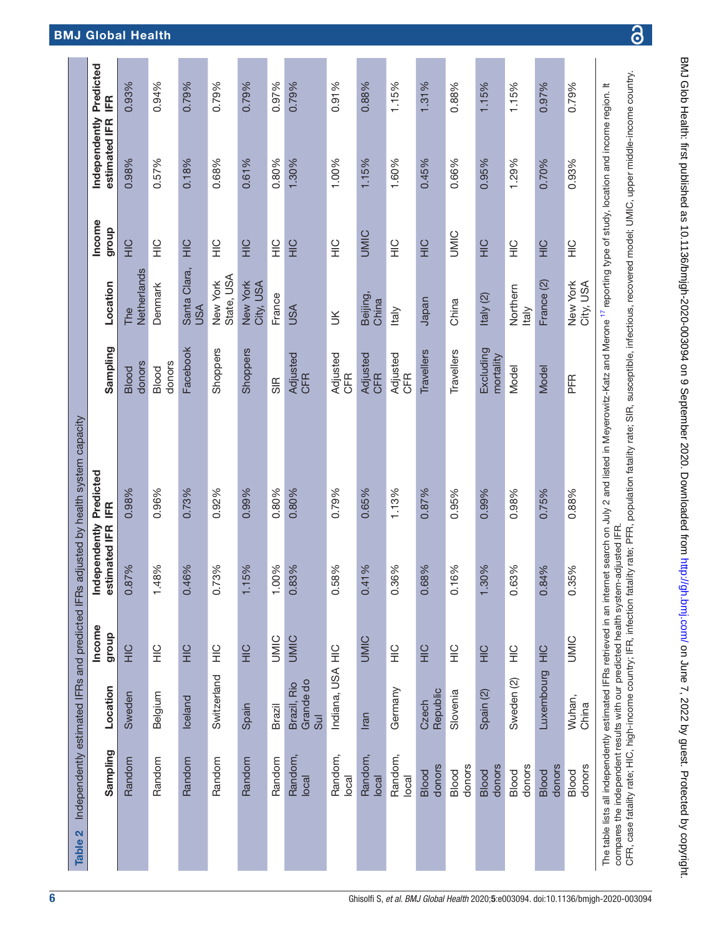<span id="page-5-0"></span>

| Table 2 |                                                                                                                                                                                                                                                                                      |                                 |                 |                                | Independently estimated IFRs and predicted IFRs adjusted by health system capacity                                                                                                                        |                        |                        |                 |                                              |       |
|---------|--------------------------------------------------------------------------------------------------------------------------------------------------------------------------------------------------------------------------------------------------------------------------------------|---------------------------------|-----------------|--------------------------------|-----------------------------------------------------------------------------------------------------------------------------------------------------------------------------------------------------------|------------------------|------------------------|-----------------|----------------------------------------------|-------|
|         | Sampling                                                                                                                                                                                                                                                                             | Location                        | Income<br>dhoub | Independently<br>estimated IFR | Predicted<br>IER                                                                                                                                                                                          | Sampling               | Location               | Income<br>group | Independently Predicted<br>estimated IFR IFR |       |
|         | Random                                                                                                                                                                                                                                                                               | Sweden                          | $rac{C}{T}$     | 0.87%                          | 0.98%                                                                                                                                                                                                     | donors<br><b>Blood</b> | Netherlands<br>The     | $rac{C}{T}$     | 0.98%                                        | 0.93% |
|         | Random                                                                                                                                                                                                                                                                               | Belgium                         | $\frac{0}{1}$   | 1.48%                          | 0.96%                                                                                                                                                                                                     | donors<br>Blood        | Denmark                | $rac{C}{T}$     | 0.57%                                        | 0.94% |
|         | Random                                                                                                                                                                                                                                                                               | Iceland                         | $\frac{1}{2}$   | 0.46%                          | 0.73%                                                                                                                                                                                                     | Facebook               | Santa Clara,<br>USA    | $rac{C}{T}$     | 0.18%                                        | 0.79% |
|         | Random                                                                                                                                                                                                                                                                               | Switzerland                     | $\frac{0}{1}$   | 0.73%                          | 0.92%                                                                                                                                                                                                     | Shoppers               | State, USA<br>New York | $\frac{0}{1}$   | 0.68%                                        | 0.79% |
|         | Random                                                                                                                                                                                                                                                                               | Spain                           | $\frac{C}{T}$   | 5%<br>$\overline{1}$           | 0.99%                                                                                                                                                                                                     | Shoppers               | New York<br>City, USA  | $rac{C}{T}$     | 0.61%                                        | 0.79% |
|         | Random                                                                                                                                                                                                                                                                               | Brazil                          | UMIC            | 1.00%                          | 0.80%                                                                                                                                                                                                     | $\frac{1}{5}$          | France                 | $\frac{0}{1}$   | 0.80%                                        | 0.97% |
|         | Random,<br>local                                                                                                                                                                                                                                                                     | Grande do<br>Brazil, Rio<br>Sul | <b>UMIC</b>     | 0.83%                          | 0.80%                                                                                                                                                                                                     | Adjusted<br><b>CFR</b> | <b>USA</b>             | $rac{C}{T}$     | 1.30%                                        | 0.79% |
|         | Random,<br>local                                                                                                                                                                                                                                                                     | Indiana, USA HIC                |                 | 0.58%                          | 0.79%                                                                                                                                                                                                     | Adjusted<br>CFR        | š                      | $rac{C}{T}$     | 1.00%                                        | 0.91% |
|         | Random,<br>local                                                                                                                                                                                                                                                                     | Iran                            | <b>UMIC</b>     | 0.41%                          | 0.65%                                                                                                                                                                                                     | Adjusted<br><b>CFR</b> | Beijing,<br>China      | <b>UMIC</b>     | 1.15%                                        | 0.88% |
|         | Random,<br>local                                                                                                                                                                                                                                                                     | Germany                         | $\frac{1}{2}$   | 0.36%                          | 1.13%                                                                                                                                                                                                     | Adjusted<br><b>CFR</b> | Italy                  | $\frac{1}{2}$   | 1.60%                                        | 1.15% |
|         | donors<br><b>Blood</b>                                                                                                                                                                                                                                                               | Republic<br>Czech               | $rac{C}{T}$     | 0.68%                          | 0.87%                                                                                                                                                                                                     | Travellers             | Japan                  | $rac{C}{T}$     | 0.45%                                        | 1.31% |
|         | donors<br>Blood                                                                                                                                                                                                                                                                      | Slovenia                        | $rac{C}{T}$     | 0.16%                          | 0.95%                                                                                                                                                                                                     | Travellers             | China                  | <b>UMIC</b>     | 0.66%                                        | 0.88% |
|         | donors<br><b>Blood</b>                                                                                                                                                                                                                                                               | Spain <sub>(2)</sub>            | $rac{C}{T}$     | 1.30%                          | 0.99%                                                                                                                                                                                                     | Excluding<br>mortality | Italy (2)              | $rac{C}{T}$     | 0.95%                                        | 1.15% |
|         | donors<br>Blood                                                                                                                                                                                                                                                                      | Sweden (2)                      | $\frac{Q}{T}$   | 0.63%                          | 0.98%                                                                                                                                                                                                     | Model                  | Northern<br>Italy      | $\frac{0}{1}$   | 1.29%                                        | 1.15% |
|         | donors<br><b>Blood</b>                                                                                                                                                                                                                                                               | Luxembourg                      | $rac{C}{T}$     | 0.84%                          | 0.75%                                                                                                                                                                                                     | Model                  | France (2)             | $\frac{C}{L}$   | 0.70%                                        | 0.97% |
|         | donors<br>Blood                                                                                                                                                                                                                                                                      | Wuhan,<br>China                 | UMIC            | 0.35%                          | 0.88%                                                                                                                                                                                                     | PFR                    | New York<br>City, USA  | $\frac{0}{1}$   | 0.93%                                        | 0.79% |
|         | CFR, case fatality rate; HIC, high-income country; IFR, infection fatality rate; PFR, population fatality rate; SIR, susceptible, infectious, recovered model; UMIC, upper middle-income country.<br>compares the independent results with our predicted health system-adjusted IFR. |                                 |                 |                                | The table lists all independently estimated IFRs retrieved in an internet search on July 2 and listed in Meyerowitz-Katz and Merone <sup>17</sup> reporting type of study, location and income region. It |                        |                        |                 |                                              |       |

 $\overline{\partial}$ 

BMJ Glob Health: first published as 10.1136/bmjgh-2020-003094 on 9 September 2020. Downloaded from com/ bmj.com/ on June 7, 2022 by guest. Protected by copyright.

BMJ Glob Health: first published as 10.1136/bmigh-2020-003094 on 9 September 2020. Downloaded from http://gh.bmj.com/ on June 7, 2022 by guest. Protected by copyright.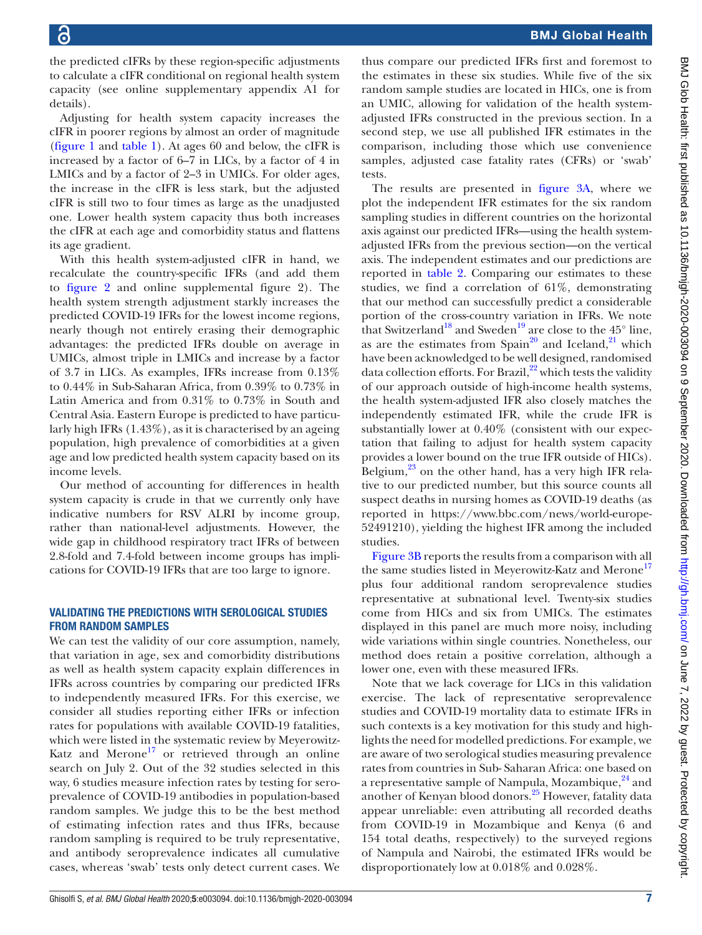BMJ Global Health

the predicted cIFRs by these region-specific adjustments to calculate a cIFR conditional on regional health system capacity (see [online supplementary appendix A1](https://dx.doi.org/10.1136/bmjgh-2020-003094) for details).

Adjusting for health system capacity increases the cIFR in poorer regions by almost an order of magnitude [\(figure](#page-2-0) 1 and [table](#page-2-1) 1). At ages 60 and below, the cIFR is increased by a factor of 6–7 in LICs, by a factor of 4 in LMICs and by a factor of 2–3 in UMICs. For older ages, the increase in the cIFR is less stark, but the adjusted cIFR is still two to four times as large as the unadjusted one. Lower health system capacity thus both increases the cIFR at each age and comorbidity status and flattens its age gradient.

With this health system-adjusted cIFR in hand, we recalculate the country-specific IFRs (and add them to [figure](#page-3-0) 2 and [online supplemental figure 2\)](https://dx.doi.org/10.1136/bmjgh-2020-003094). The health system strength adjustment starkly increases the predicted COVID-19 IFRs for the lowest income regions, nearly though not entirely erasing their demographic advantages: the predicted IFRs double on average in UMICs, almost triple in LMICs and increase by a factor of 3.7 in LICs. As examples, IFRs increase from 0.13% to 0.44% in Sub-Saharan Africa, from 0.39% to 0.73% in Latin America and from 0.31% to 0.73% in South and Central Asia. Eastern Europe is predicted to have particularly high IFRs (1.43%), as it is characterised by an ageing population, high prevalence of comorbidities at a given age and low predicted health system capacity based on its income levels.

Our method of accounting for differences in health system capacity is crude in that we currently only have indicative numbers for RSV ALRI by income group, rather than national-level adjustments. However, the wide gap in childhood respiratory tract IFRs of between 2.8-fold and 7.4-fold between income groups has implications for COVID-19 IFRs that are too large to ignore.

## VALIDATING THE PREDICTIONS WITH SEROLOGICAL STUDIES FROM RANDOM SAMPLES

We can test the validity of our core assumption, namely, that variation in age, sex and comorbidity distributions as well as health system capacity explain differences in IFRs across countries by comparing our predicted IFRs to independently measured IFRs. For this exercise, we consider all studies reporting either IFRs or infection rates for populations with available COVID-19 fatalities, which were listed in the systematic review by Meyerowitz-Katz and Merone<sup>[17](#page-7-11)</sup> or retrieved through an online search on July 2. Out of the 32 studies selected in this way, 6 studies measure infection rates by testing for seroprevalence of COVID-19 antibodies in population-based random samples. We judge this to be the best method of estimating infection rates and thus IFRs, because random sampling is required to be truly representative, and antibody seroprevalence indicates all cumulative cases, whereas 'swab' tests only detect current cases. We

thus compare our predicted IFRs first and foremost to the estimates in these six studies. While five of the six random sample studies are located in HICs, one is from an UMIC, allowing for validation of the health systemadjusted IFRs constructed in the previous section. In a second step, we use all published IFR estimates in the comparison, including those which use convenience samples, adjusted case fatality rates (CFRs) or 'swab' tests.

The results are presented in [figure](#page-4-0) 3A, where we plot the independent IFR estimates for the six random sampling studies in different countries on the horizontal axis against our predicted IFRs—using the health systemadjusted IFRs from the previous section—on the vertical axis. The independent estimates and our predictions are reported in [table](#page-5-0) 2. Comparing our estimates to these studies, we find a correlation of 61%, demonstrating that our method can successfully predict a considerable portion of the cross-country variation in IFRs. We note that Switzerland<sup>18</sup> and Sweden<sup>19</sup> are close to the 45 $^{\circ}$  line, as are the estimates from Spain<sup>[20](#page-7-14)</sup> and Iceland,<sup>21</sup> which have been acknowledged to be well designed, randomised data collection efforts. For Brazil,<sup>[22](#page-7-16)</sup> which tests the validity of our approach outside of high-income health systems, the health system-adjusted IFR also closely matches the independently estimated IFR, while the crude IFR is substantially lower at 0.40% (consistent with our expectation that failing to adjust for health system capacity provides a lower bound on the true IFR outside of HICs). Belgium, $^{23}$  on the other hand, has a very high IFR relative to our predicted number, but this source counts all suspect deaths in nursing homes as COVID-19 deaths (as reported in [https://www.bbc.com/news/world-europe-](https://www.bbc.com/news/world-europe-52491210)[52491210](https://www.bbc.com/news/world-europe-52491210)), yielding the highest IFR among the included studies.

[Figure](#page-4-0) 3B reports the results from a comparison with all the same studies listed in Meyerowitz-Katz and Merone<sup>17</sup> plus four additional random seroprevalence studies representative at subnational level. Twenty-six studies come from HICs and six from UMICs. The estimates displayed in this panel are much more noisy, including wide variations within single countries. Nonetheless, our method does retain a positive correlation, although a lower one, even with these measured IFRs.

Note that we lack coverage for LICs in this validation exercise. The lack of representative seroprevalence studies and COVID-19 mortality data to estimate IFRs in such contexts is a key motivation for this study and highlights the need for modelled predictions. For example, we are aware of two serological studies measuring prevalence rates from countries in Sub- Saharan Africa: one based on a representative sample of Nampula, Mozambique, $^{24}$  $^{24}$  $^{24}$  and another of Kenyan blood donors[.25](#page-7-19) However, fatality data appear unreliable: even attributing all recorded deaths from COVID-19 in Mozambique and Kenya (6 and 154 total deaths, respectively) to the surveyed regions of Nampula and Nairobi, the estimated IFRs would be disproportionately low at 0.018% and 0.028%.